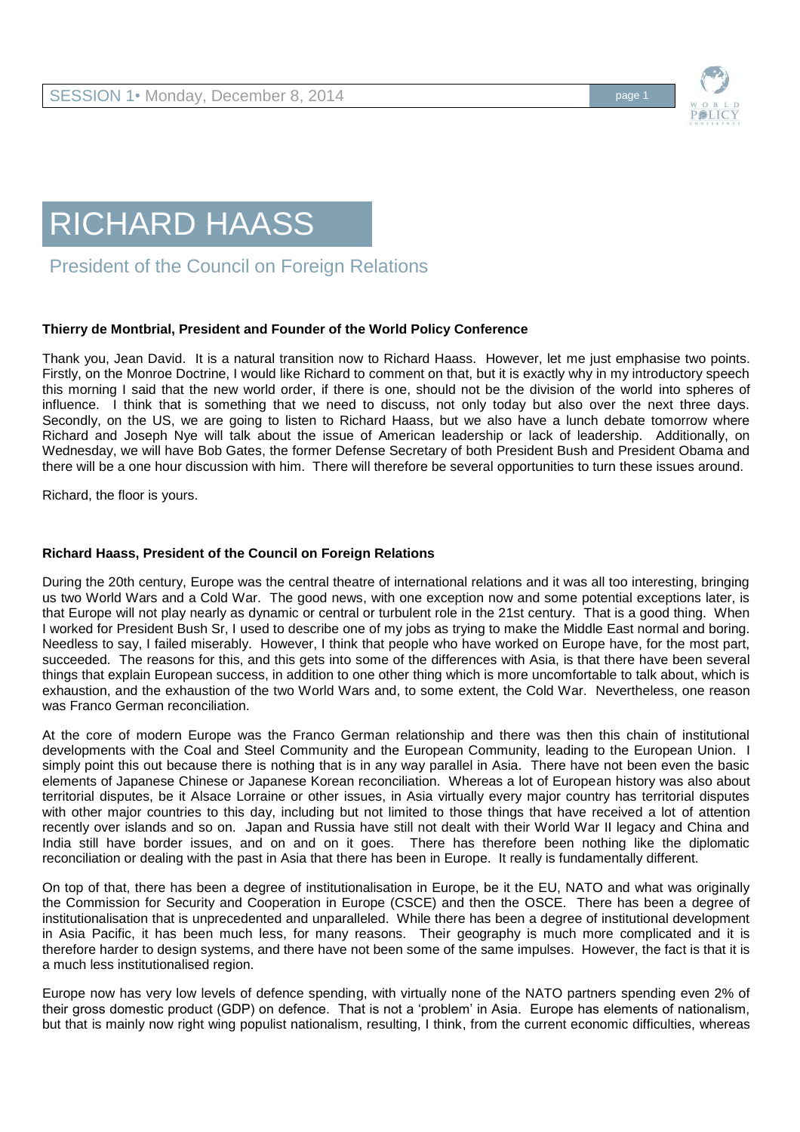

## RICHARD HAASS

President of the Council on Foreign Relations

## **Thierry de Montbrial, President and Founder of the World Policy Conference**

Thank you, Jean David. It is a natural transition now to Richard Haass. However, let me just emphasise two points. Firstly, on the Monroe Doctrine, I would like Richard to comment on that, but it is exactly why in my introductory speech this morning I said that the new world order, if there is one, should not be the division of the world into spheres of influence. I think that is something that we need to discuss, not only today but also over the next three days. Secondly, on the US, we are going to listen to Richard Haass, but we also have a lunch debate tomorrow where Richard and Joseph Nye will talk about the issue of American leadership or lack of leadership. Additionally, on Wednesday, we will have Bob Gates, the former Defense Secretary of both President Bush and President Obama and there will be a one hour discussion with him. There will therefore be several opportunities to turn these issues around.

Richard, the floor is yours.

## **Richard Haass, President of the Council on Foreign Relations**

During the 20th century, Europe was the central theatre of international relations and it was all too interesting, bringing us two World Wars and a Cold War. The good news, with one exception now and some potential exceptions later, is that Europe will not play nearly as dynamic or central or turbulent role in the 21st century. That is a good thing. When I worked for President Bush Sr, I used to describe one of my jobs as trying to make the Middle East normal and boring. Needless to say, I failed miserably. However, I think that people who have worked on Europe have, for the most part, succeeded. The reasons for this, and this gets into some of the differences with Asia, is that there have been several things that explain European success, in addition to one other thing which is more uncomfortable to talk about, which is exhaustion, and the exhaustion of the two World Wars and, to some extent, the Cold War. Nevertheless, one reason was Franco German reconciliation.

At the core of modern Europe was the Franco German relationship and there was then this chain of institutional developments with the Coal and Steel Community and the European Community, leading to the European Union. I simply point this out because there is nothing that is in any way parallel in Asia. There have not been even the basic elements of Japanese Chinese or Japanese Korean reconciliation. Whereas a lot of European history was also about territorial disputes, be it Alsace Lorraine or other issues, in Asia virtually every major country has territorial disputes with other major countries to this day, including but not limited to those things that have received a lot of attention recently over islands and so on. Japan and Russia have still not dealt with their World War II legacy and China and India still have border issues, and on and on it goes. There has therefore been nothing like the diplomatic reconciliation or dealing with the past in Asia that there has been in Europe. It really is fundamentally different.

On top of that, there has been a degree of institutionalisation in Europe, be it the EU, NATO and what was originally the Commission for Security and Cooperation in Europe (CSCE) and then the OSCE. There has been a degree of institutionalisation that is unprecedented and unparalleled. While there has been a degree of institutional development in Asia Pacific, it has been much less, for many reasons. Their geography is much more complicated and it is therefore harder to design systems, and there have not been some of the same impulses. However, the fact is that it is a much less institutionalised region.

Europe now has very low levels of defence spending, with virtually none of the NATO partners spending even 2% of their gross domestic product (GDP) on defence. That is not a 'problem' in Asia. Europe has elements of nationalism, but that is mainly now right wing populist nationalism, resulting, I think, from the current economic difficulties, whereas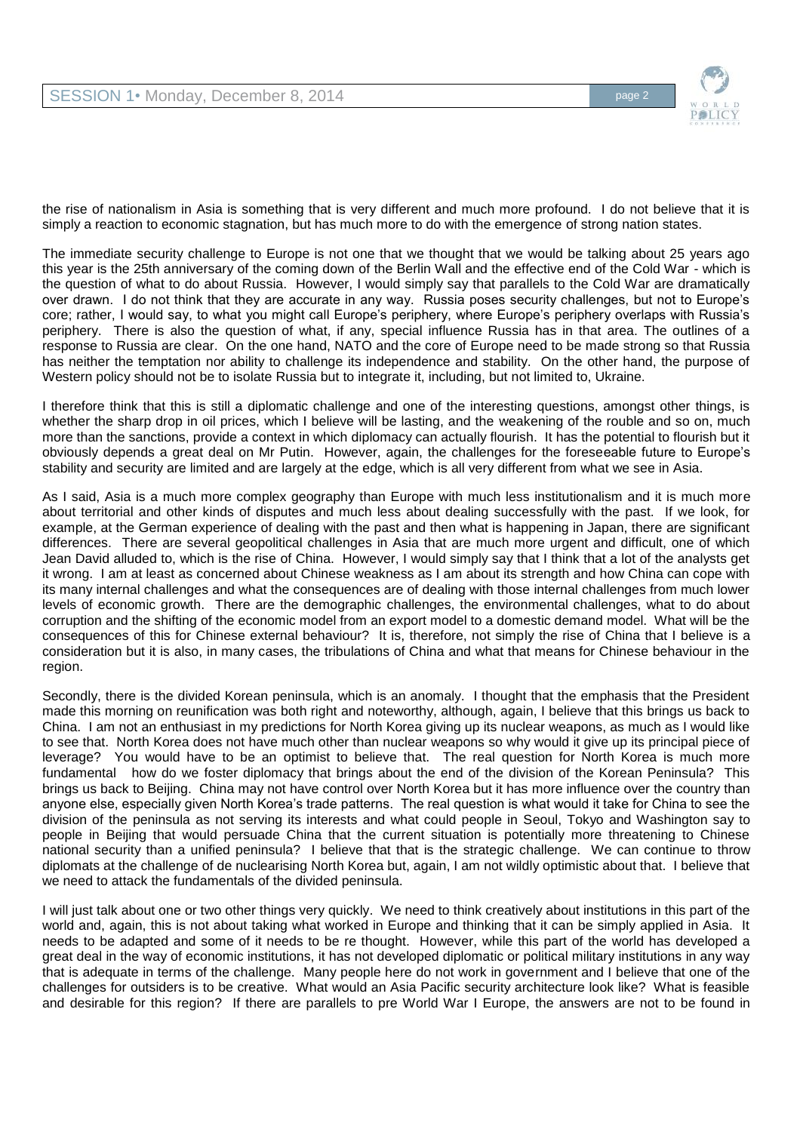

the rise of nationalism in Asia is something that is very different and much more profound. I do not believe that it is simply a reaction to economic stagnation, but has much more to do with the emergence of strong nation states.

The immediate security challenge to Europe is not one that we thought that we would be talking about 25 years ago this year is the 25th anniversary of the coming down of the Berlin Wall and the effective end of the Cold War - which is the question of what to do about Russia. However, I would simply say that parallels to the Cold War are dramatically over drawn. I do not think that they are accurate in any way. Russia poses security challenges, but not to Europe's core; rather, I would say, to what you might call Europe's periphery, where Europe's periphery overlaps with Russia's periphery. There is also the question of what, if any, special influence Russia has in that area. The outlines of a response to Russia are clear. On the one hand, NATO and the core of Europe need to be made strong so that Russia has neither the temptation nor ability to challenge its independence and stability. On the other hand, the purpose of Western policy should not be to isolate Russia but to integrate it, including, but not limited to, Ukraine.

I therefore think that this is still a diplomatic challenge and one of the interesting questions, amongst other things, is whether the sharp drop in oil prices, which I believe will be lasting, and the weakening of the rouble and so on, much more than the sanctions, provide a context in which diplomacy can actually flourish. It has the potential to flourish but it obviously depends a great deal on Mr Putin. However, again, the challenges for the foreseeable future to Europe's stability and security are limited and are largely at the edge, which is all very different from what we see in Asia.

As I said, Asia is a much more complex geography than Europe with much less institutionalism and it is much more about territorial and other kinds of disputes and much less about dealing successfully with the past. If we look, for example, at the German experience of dealing with the past and then what is happening in Japan, there are significant differences. There are several geopolitical challenges in Asia that are much more urgent and difficult, one of which Jean David alluded to, which is the rise of China. However, I would simply say that I think that a lot of the analysts get it wrong. I am at least as concerned about Chinese weakness as I am about its strength and how China can cope with its many internal challenges and what the consequences are of dealing with those internal challenges from much lower levels of economic growth. There are the demographic challenges, the environmental challenges, what to do about corruption and the shifting of the economic model from an export model to a domestic demand model. What will be the consequences of this for Chinese external behaviour? It is, therefore, not simply the rise of China that I believe is a consideration but it is also, in many cases, the tribulations of China and what that means for Chinese behaviour in the region.

Secondly, there is the divided Korean peninsula, which is an anomaly. I thought that the emphasis that the President made this morning on reunification was both right and noteworthy, although, again, I believe that this brings us back to China. I am not an enthusiast in my predictions for North Korea giving up its nuclear weapons, as much as I would like to see that. North Korea does not have much other than nuclear weapons so why would it give up its principal piece of leverage? You would have to be an optimist to believe that. The real question for North Korea is much more fundamental how do we foster diplomacy that brings about the end of the division of the Korean Peninsula? This brings us back to Beijing. China may not have control over North Korea but it has more influence over the country than anyone else, especially given North Korea's trade patterns. The real question is what would it take for China to see the division of the peninsula as not serving its interests and what could people in Seoul, Tokyo and Washington say to people in Beijing that would persuade China that the current situation is potentially more threatening to Chinese national security than a unified peninsula? I believe that that is the strategic challenge. We can continue to throw diplomats at the challenge of de nuclearising North Korea but, again, I am not wildly optimistic about that. I believe that we need to attack the fundamentals of the divided peninsula.

I will just talk about one or two other things very quickly. We need to think creatively about institutions in this part of the world and, again, this is not about taking what worked in Europe and thinking that it can be simply applied in Asia. It needs to be adapted and some of it needs to be re thought. However, while this part of the world has developed a great deal in the way of economic institutions, it has not developed diplomatic or political military institutions in any way that is adequate in terms of the challenge. Many people here do not work in government and I believe that one of the challenges for outsiders is to be creative. What would an Asia Pacific security architecture look like? What is feasible and desirable for this region? If there are parallels to pre World War I Europe, the answers are not to be found in